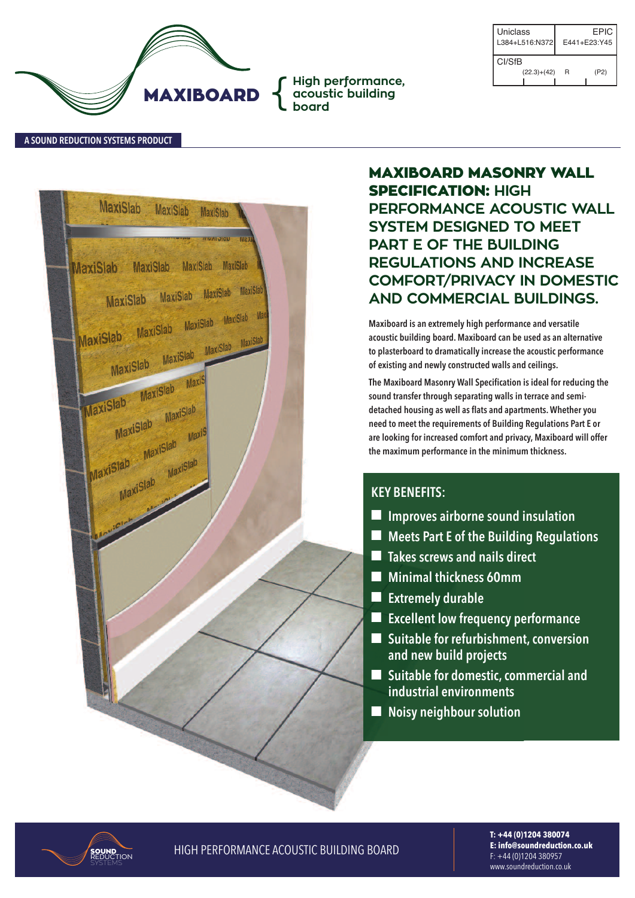

| Uniclass<br>L384+L516:N372 |               | EPIC-<br>E441+E23:Y45 |      |  |
|----------------------------|---------------|-----------------------|------|--|
| CI/Sf <sub>B</sub>         |               |                       |      |  |
|                            | $(22.3)+(42)$ | R                     | (P2) |  |

**A SouNd REducTIoN SYSTEMS PRoducT**

| MaxiSlab MaxiSlab MaxiSlab                   |                                     |          |              |  |
|----------------------------------------------|-------------------------------------|----------|--------------|--|
| MaxiSlab MaxiSlab MaxiSlab MaxiSlab          |                                     | UDIOIUMI | <b>IVIEM</b> |  |
| MaxiSlab MaxiSlab MaxiSlab MaxiSlab          |                                     |          |              |  |
| MaxiSlab MaxiSlab MaxiSlab MaxiSlab Maxi     |                                     |          |              |  |
|                                              | MaxiSlab MaxiSlab MaxiSlab MaxiSlab |          |              |  |
| MaxiSlab MaxiSlab MaxiS<br>MaxiSlab MaxiSlab |                                     |          |              |  |
| MaxiSlab MaxiSlab Maxis                      |                                     |          |              |  |
|                                              | MaxiSlab MaxiSlab                   |          |              |  |
|                                              |                                     |          |              |  |
|                                              |                                     |          |              |  |
|                                              |                                     |          |              |  |
|                                              |                                     |          |              |  |
|                                              |                                     |          |              |  |
|                                              |                                     |          |              |  |
|                                              |                                     |          |              |  |

# **MAXIBOARD MASONRY WALL SPECIFICATION: HIGH PERFORMANCE ACOUSTIC WALL SYSTEM DESIGNED TO MEET PART E OF THE BUILDING REGULATIONS AND INCREASE COMFORT/PRIVACY IN DOMESTIC AND COMMERCIAL BUILDINGS.**

**Maxiboard is an extremely high performance and versatile acoustic building board. Maxiboard can be used as an alternative to plasterboard to dramatically increase the acoustic performance of existing and newly constructed walls and ceilings.**

**The Maxiboard Masonry Wall Specification is ideal for reducing the sound transfer through separating walls in terrace and semidetached housing as well as flats and apartments.Whether you need to meet the requirements of Building Regulations Part E or are looking for increased comfort and privacy, Maxiboard will offer the maximum performance in the minimum thickness.**

## **KEY BENEFITS:**

- n **Improves airborne sound insulation**
- n **Meets Part E of the Building Regulations**
- n **Takes screws and nails direct**
- n **Minimal thickness 60mm**
- $\blacksquare$  Extremely durable
- n **Excellent low frequency performance**
- Suitable for refurbishment, conversion **and new build projects**
- Suitable for domestic, commercial and **industrial environments**
- n **Noisy neighbour solution**



**SOUND HIGH PERFORMANCE ACOUSTIC BUILDING BOARD** 

**T: +44 (0)1204 380074 E: info@soundreduction.co.uk** f: +44 (0)1204 380957 www.soundreduction.co.uk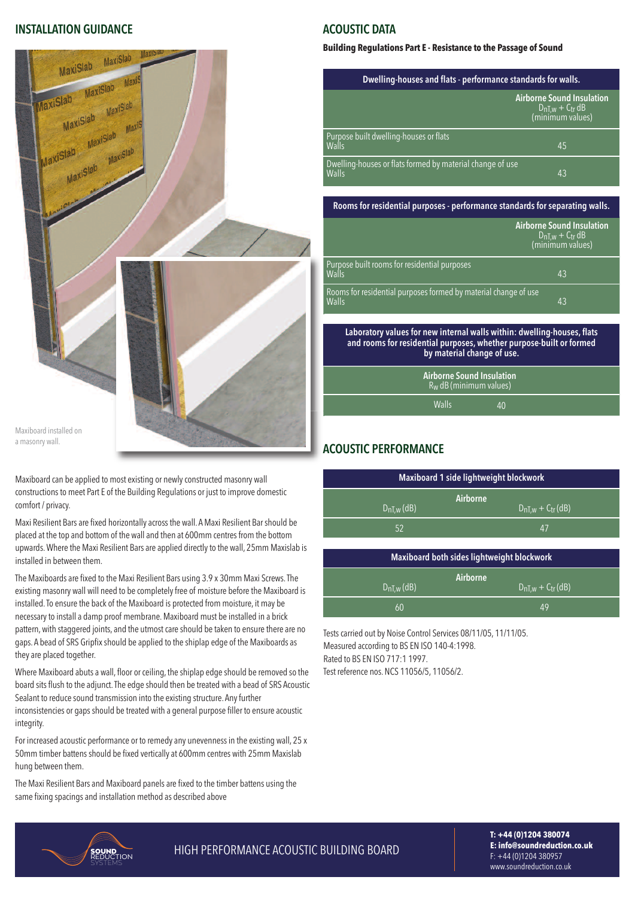#### **INSTALLATIoN GuIdANcE**



a masonry wall.

maxiboard can be applied to most existing or newlyconstructed masonry wall constructions to meet Part E of the Building Regulations or just to improve domestic comfort / privacy.

Maxi Resilient Bars are fixed horizontally across the wall. A Maxi Resilient Bar should be placed at the top and bottom of the wall and then at 600mm centres from the bottom upwards. Where the Maxi Resilient Bars are applied directly to the wall, 25mm Maxislab is installed in between them.

The Maxiboards are fixed to the Maxi Resilient Bars using 3.9 x 30mm Maxi Screws. The existing masonry wall will need to be completely free of moisture before the Maxiboard is installed. To ensure the back of the Maxiboard is protected from moisture, it may be necessary to install a damp proof membrane. Maxiboard must be installed in a brick pattern, with staggered joints, and the utmost care should be taken to ensure there are no gaps. A bead of SRS Gripfix should be applied to the shiplap edge of the Maxiboards as they are placed together.

Where Maxiboard abuts a wall, floor or ceiling, the shiplap edge should be removed so the board sits flush to the adjunct. The edge should then be treated with a bead of SRS Acoustic Sealant to reduce sound transmission into the existing structure. Any further inconsistencies or gaps should be treated with a general purpose filler to ensure acoustic integrity.

for increased acoustic performance or to remedy any unevennessin the existing wall, 25 x 50mm timber battens should be fixed vertically at 600mm centres with 25mm Maxislab hung between them.

The Maxi Resilient Bars and Maxiboard panels are fixed to the timber battens using the same fixing spacings and installation method as described above

#### **AcouSTIc dATA**

#### **Building Regulations Part E - Resistance to the Passage of Sound**

| Dwelling-houses and flats - performance standards for walls.              |                                                                                 |  |
|---------------------------------------------------------------------------|---------------------------------------------------------------------------------|--|
|                                                                           | <b>Airborne Sound Insulation</b><br>$D_nT_{,w} + C_{tr} dB$<br>(minimum values) |  |
| Purpose built dwelling-houses or flats<br>Walls                           | 45                                                                              |  |
| Dwelling-houses or flats formed by material change of use<br><b>Walls</b> | 43                                                                              |  |

**Rooms for residential purposes - performance standards for separating walls.**

|                                                                                 | <b>Airborne Sound Insulation</b><br>$D_{nT,w} + C_{tr} dB$<br>(minimum values) |  |
|---------------------------------------------------------------------------------|--------------------------------------------------------------------------------|--|
| Purpose built rooms for residential purposes<br>Walls                           | 4 <sub>3</sub>                                                                 |  |
| Rooms for residential purposes formed by material change of use<br><b>Walls</b> | 43                                                                             |  |

**Laboratory values for new internal walls within: dwelling-houses, flats and rooms for residential purposes, whether purpose-built or formed by material change of use.**

> **Airborne Sound Insulation** R<sub>w</sub> dB (minimum values) Walls 40

### **AcouSTIc PERFoRMANcE**

| Maxiboard 1 side lightweight blockwork |                                     |  |  |
|----------------------------------------|-------------------------------------|--|--|
| $D_{nT,w}$ (dB)                        | Airborne<br>$D_{nT,w} + C_{tr}(dB)$ |  |  |
| 52                                     | 47                                  |  |  |

| Maxiboard both sides lightweight blockwork |                                    |  |  |  |
|--------------------------------------------|------------------------------------|--|--|--|
| $DnLw$ (dB)                                | Airborne<br>$DnT_{,W} + C$ tr (dB) |  |  |  |
| 60                                         | $\Delta$ 9                         |  |  |  |

Tests carried out by Noise Control Services 08/11/05, 11/11/05. Measured according to BS EN ISO 140-4:1998. Rated to BS EN ISO 717:1 1997. Test reference nos. NCS 11056/5, 11056/2.



**SOUND HIGH PERFORMANCE ACOUSTIC BUILDING BOARD** 

**T: +44 (0)1204 380074 E: info@soundreduction.co.uk** f: +44 (0)1204 380957 www.soundreduction.co.uk